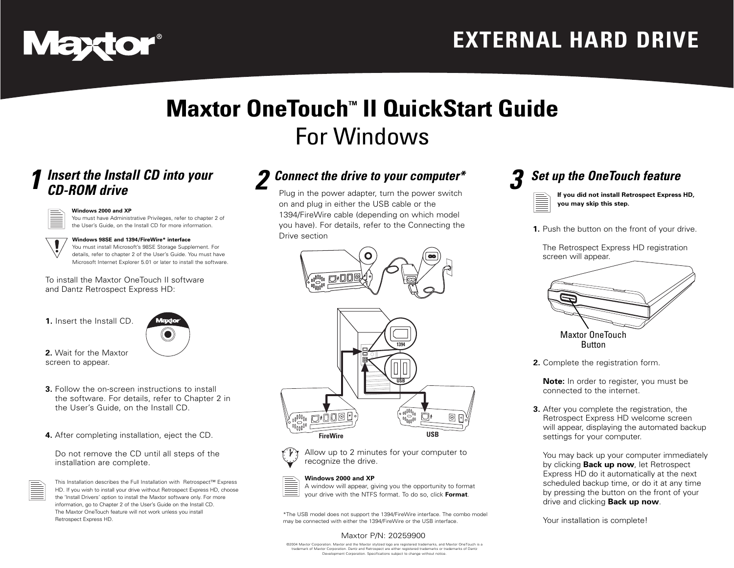

## **Maxtor OneTouch<sup>™</sup> II QuickStart Guide** For Windows

# *1 Insert the Install CD into your CD-ROM drive*



#### **Windows 2000 and XP**

You must have Administrative Privileges, refer to chapter 2 of the User's Guide, on the Install CD for more information.



#### You must install Microsoft's 98SE Storage Supplement. For

details, refer to chapter 2 of the User's Guide. You must have Microsoft Internet Explorer 5.01 or later to install the software.

To install the Maxtor OneTouch II software and Dantz Retrospect Express HD:

**1.** Insert the Install CD.



**2.** Wait for the Maxtor screen to appear.

- **3.** Follow the on-screen instructions to install the software. For details, refer to Chapter 2 in the User's Guide, on the Install CD.
- **4.** After completing installation, eject the CD.

Do not remove the CD until all steps of the installation are complete.



This Installation describes the Full Installation with Retrospect™ Express HD. If you wish to install your drive without Retrospect Express HD, choose the 'Install Drivers' option to install the Maxtor software only. For more information, go to Chapter 2 of the User's Guide on the Install CD. The Maxtor OneTouch feature will not work unless you install Retrospect Express HD.

### *2 Connect the drive to your computer\**

Plug in the power adapter, turn the power switch on and plug in either the USB cable or the 1394/FireWire cable (depending on which model you have). For details, refer to the Connecting the Drive section





Allow up to 2 minutes for your computer to recognize the drive.

#### **Windows 2000 and XP**

A window will appear, giving you the opportunity to format your drive with the NTFS format. To do so, click **Format**.

\*The USB model does not support the 1394/FireWire interface. The combo model may be connected with either the 1394/FireWire or the USB interface.

#### Maxtor P/N: 20259900

©2004 Maxtor Corporation. Maxtor and the Maxtor stylized logo are registered trademarks, and Maxtor OneTouch is a trademark of Maxtor Corporation. Dantz and Retrospect are either registered trademarks or trademarks of Dantz Development Corporation. Specifications subject to change without notice.



**you may skip this step.**

**1.** Push the button on the front of your drive.

The Retrospect Express HD registration screen will appear.



**Button** 

**2.** Complete the registration form.

**Note:** In order to register, you must be connected to the internet.

**3.** After you complete the registration, the Retrospect Express HD welcome screen will appear, displaying the automated backup settings for your computer.

You may back up your computer immediately by clicking **Back up now**, let Retrospect Express HD do it automatically at the next scheduled backup time, or do it at any time by pressing the button on the front of your drive and clicking **Back up now**.

Your installation is complete!